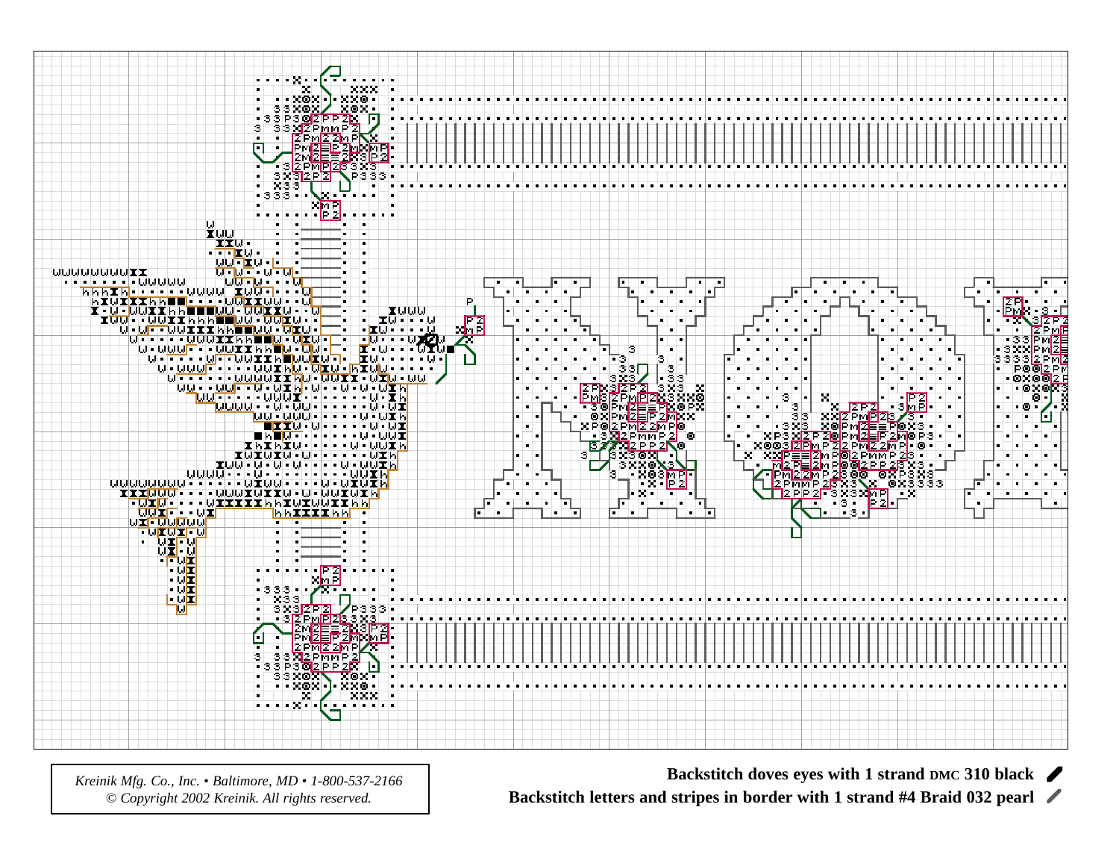

*Kreinik Mfg. Co., Inc. • Baltimore, MD • 1-800-537-2166 © Copyright 2002 Kreinik. All rights reserved.*

**Backstitch doves eyes with 1 strand DMC 310 black**

**Backstitch letters and stripes in border with 1 strand #4 Braid 032 pearl**